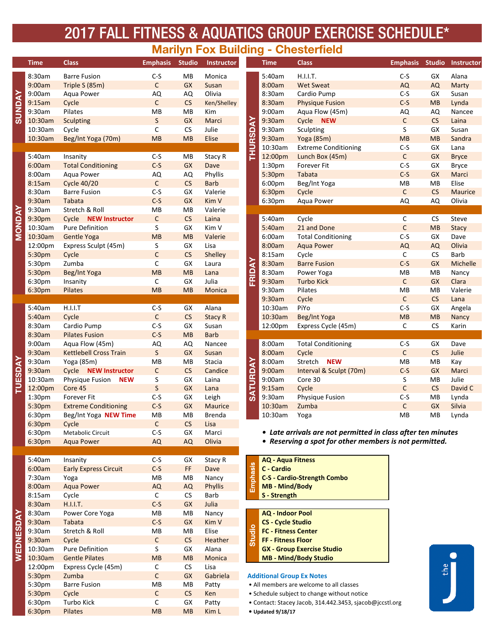# 2017 FALL FITNESS & AQUATICS GROUP EXERCISE SCHEDULE\*

### **Marilyn Fox Building - Chesterfield**

|                | <b>Time</b>        | <b>Class</b>                   | <b>Emphasis</b>    | <b>Studio</b>        | <b>Instructor</b> |                 | <b>Time</b>                                                                                             | <b>Class</b>                                                 | <b>Emphasis</b> | <b>Studio</b>   | <b>Instru</b>  |  |
|----------------|--------------------|--------------------------------|--------------------|----------------------|-------------------|-----------------|---------------------------------------------------------------------------------------------------------|--------------------------------------------------------------|-----------------|-----------------|----------------|--|
|                | 8:30am             | <b>Barre Fusion</b>            | $C-S$              | MB                   | Monica            |                 | 5:40am                                                                                                  | H.I.I.T.                                                     | $C-S$           | GX              | Alana          |  |
|                | 9:00am             | Triple S (85m)                 | $\mathsf C$        | <b>GX</b>            | Susan             |                 | 8:00am                                                                                                  | <b>Wet Sweat</b>                                             | AQ              | <b>AQ</b>       | Marty          |  |
|                | 9:00am             | Aqua Power                     | AQ                 | AQ                   | Olivia            |                 | 8:30am                                                                                                  | Cardio Pump                                                  | $C-S$           | GX              | Susan          |  |
|                | 9:15am             | Cycle                          | $\mathsf C$        | CS                   | Ken/Shelley       |                 | 8:30am                                                                                                  | <b>Physique Fusion</b>                                       | $C-S$           | MB              | Lynda          |  |
| <b>SUNDAY</b>  | 9:30am             | Pilates                        | MB                 | MB                   | Kim               |                 | 9:00am                                                                                                  | Aqua Flow (45m)                                              | AQ              | AQ              | Nance          |  |
|                | 10:30am            | <b>Sculpting</b>               | $\sf S$            | GX                   | Marci             |                 | 9:30am                                                                                                  | Cycle NEW                                                    | $\mathsf C$     | CS              | Laina          |  |
|                | 10:30am            | Cycle                          | С                  | ${\sf CS}$           | Julie             |                 | 9:30am                                                                                                  | Sculpting                                                    | S               | GX              | Susan          |  |
|                | 10:30am            | Beg/Int Yoga (70m)             | MB                 | MB                   | Elise             |                 | 9:30am                                                                                                  | Yoga (85m)                                                   | MB              | MB              | Sandra         |  |
|                |                    |                                |                    |                      |                   | <b>THURSDAY</b> | 10:30am                                                                                                 | <b>Extreme Conditioning</b>                                  | $C-S$           | GX              | Lana           |  |
|                | 5:40am             | Insanity                       | $C-S$              | MB                   | Stacy R           |                 | 12:00pm                                                                                                 | Lunch Box (45m)                                              | $\mathsf C$     | <b>GX</b>       | <b>Bryce</b>   |  |
|                | 6:00am             | <b>Total Conditioning</b>      | $C-S$              | GX                   | Dave              |                 | 1:30pm                                                                                                  | Forever Fit                                                  | $C-S$           | GX              | <b>Bryce</b>   |  |
|                | 8:00am             | Aqua Power                     | AQ                 | AQ                   | Phyllis           |                 | 5:30pm                                                                                                  | Tabata                                                       | $C-S$           | <b>GX</b>       | Marci          |  |
|                | 8:15am             | <b>Cycle 40/20</b>             | $\mathsf C$        | $\mathsf{CS}\xspace$ | <b>Barb</b>       |                 | 6:00pm                                                                                                  | Beg/Int Yoga                                                 | MB              | MB              | Elise          |  |
|                | 8:30am             | <b>Barre Fusion</b>            | $C-S$              | GX                   | Valerie           |                 | 6:30pm                                                                                                  | Cycle                                                        | $\mathsf C$     | CS              | Mauri          |  |
|                | 9:30am             | Tabata                         | $C-S$              | <b>GX</b>            | Kim V             |                 | 6:30pm                                                                                                  | Aqua Power                                                   | AQ              | AQ              | Olivia         |  |
|                | 9:30am             | Stretch & Roll                 | MB                 | MB                   | Valerie           |                 |                                                                                                         |                                                              |                 |                 |                |  |
|                | 9:30pm             | Cycle NEW Instructor           | $\mathsf{C}$       | ${\sf CS}$           | Laina             |                 | 5:40am                                                                                                  | Cycle                                                        | C               | <b>CS</b>       | Steve          |  |
| <b>MONDAY</b>  | 10:30am            | <b>Pure Definition</b>         | S                  | GX                   | Kim V             |                 | 5:40am                                                                                                  | 21 and Done                                                  | $\mathsf C$     | MB              | <b>Stacy</b>   |  |
|                | 10:30am            | Gentle Yoga                    | MB                 | <b>MB</b>            | Valerie           |                 | 6:00am                                                                                                  | <b>Total Conditioning</b>                                    | $C-S$           | GX              | Dave           |  |
|                | 12:00pm            | Express Sculpt (45m)           | S                  | GX                   | Lisa              |                 | 8:00am                                                                                                  | <b>Aqua Power</b>                                            | <b>AQ</b>       | <b>AQ</b>       | Olivia         |  |
|                | 5:30pm             | Cycle                          | $\mathsf C$        | CS                   | Shelley           |                 | 8:15am                                                                                                  | Cycle                                                        | C               | CS              | Barb           |  |
|                | 5:30pm             | Zumba                          | С                  | GX                   | Laura             | FRIDAY          | 8:30am                                                                                                  | <b>Barre Fusion</b>                                          | $C-S$           | GX              | Miche          |  |
|                | 5:30pm             | Beg/Int Yoga                   | MB                 | MB                   | Lana              |                 | 8:30am                                                                                                  | Power Yoga                                                   | MB              | MB              | Nancy          |  |
|                | 6:30pm             | Insanity                       | $\mathsf{C}$       | GX                   | Julia             |                 | 9:30am                                                                                                  | <b>Turbo Kick</b>                                            | $\mathsf C$     | <b>GX</b>       | Clara          |  |
|                | 6:30pm             | Pilates                        | MB                 | MB                   | Monica            |                 | 9:30am                                                                                                  | Pilates                                                      | MB              | MB              | Valeri         |  |
|                |                    |                                |                    |                      |                   |                 | 9:30am                                                                                                  | Cycle                                                        | $\mathsf C$     | CS              | Lana           |  |
|                | 5:40am             | H.I.I.T                        | $C-S$              | GX                   | Alana             |                 | 10:30am                                                                                                 | PiYo                                                         | $C-S$           | GX              | Angela         |  |
|                | 5:40am             | Cycle                          | $\mathsf C$        | CS                   | <b>Stacy R</b>    |                 | 10:30am                                                                                                 | Beg/Int Yoga                                                 | MB              | MB              | Nancy          |  |
|                | 8:30am             | Cardio Pump                    | $C-S$              | GX                   | Susan             |                 | 12:00pm                                                                                                 | Express Cycle (45m)                                          | C               | <b>CS</b>       | Karin          |  |
|                | 8:30am             | <b>Pilates Fusion</b>          | $C-S$              | <b>MB</b>            | <b>Barb</b>       |                 |                                                                                                         |                                                              |                 |                 |                |  |
|                | 9:00am             | Aqua Flow (45m)                | AQ                 | AQ                   | Nancee            |                 | 8:00am                                                                                                  | <b>Total Conditioning</b>                                    | $C-S$           | GX              | Dave           |  |
|                | 9:30am             | <b>Kettlebell Cross Train</b>  | S                  | GX                   | Susan             |                 | 8:00am                                                                                                  | Cycle                                                        | $\mathsf C$     | CS              | Julie          |  |
| <b>TUESDAY</b> | 9:30am             | Yoga (85m)                     | MB<br>$\mathsf{C}$ | MB<br>CS             | Stacia            | <b>SATURDAY</b> | 8:00am<br>9:00am                                                                                        | <b>NEW</b><br>Stretch                                        | MB<br>$C-S$     | MB<br><b>GX</b> | Kay            |  |
|                | 9:30am<br>10:30am  | Cycle NEW Instructor           |                    | GX                   | Candice<br>Laina  |                 | 9:00am                                                                                                  | Interval & Sculpt (70m)<br>Core 30                           | S               | MB              | Marci<br>Julie |  |
|                | 12:00pm            | Physique Fusion NEW<br>Core 45 | S<br>$\sf S$       | <b>GX</b>            | Lana              |                 | 9:15am                                                                                                  | Cycle                                                        | $\mathsf C$     | CS              | David          |  |
|                | 1:30 <sub>pm</sub> | <b>Forever Fit</b>             | $C-S$              | GX                   | Leigh             |                 | 9:30am                                                                                                  | Physique Fusion                                              | $C-S$           | MB              | Lynda          |  |
|                | 5:30pm             | <b>Extreme Conditioning</b>    | $C-S$              | GX                   | Maurice           |                 | 10:30am                                                                                                 | Zumba                                                        | $\mathsf C$     | <b>GX</b>       | Silvia         |  |
|                | 6:30pm             | Beg/Int Yoga NEW Time          | MB                 | MB                   | Brenda            |                 | 10:30am                                                                                                 | Yoga                                                         | MB              | MB              | Lynda          |  |
|                | 6:30pm             | Cycle                          | $\mathsf{C}$       | CS                   | Lisa              |                 |                                                                                                         |                                                              |                 |                 |                |  |
|                | 6:30pm             | Metabolic Circuit              | $C-S$              | GX                   | Marci             |                 |                                                                                                         | • Late arrivals are not permitted in class after ten minutes |                 |                 |                |  |
|                | 6:30pm             | <b>Aqua Power</b>              | AQ                 | AQ                   | Olivia            |                 |                                                                                                         | • Reserving a spot for other members is not permitted.       |                 |                 |                |  |
|                |                    |                                |                    |                      |                   |                 |                                                                                                         |                                                              |                 |                 |                |  |
|                | 5:40am             | Insanity                       | $C-S$              | GX                   | Stacy R           |                 | <b>AQ - Aqua Fitness</b>                                                                                |                                                              |                 |                 |                |  |
|                | 6:00am             | <b>Early Express Circuit</b>   | $C-S$              | FF.                  | Dave              | Emphasis        | C - Cardio                                                                                              |                                                              |                 |                 |                |  |
|                | 7:30am             | Yoga                           | MВ                 | MB                   | Nancy             |                 |                                                                                                         | <b>C-S - Cardio-Strength Combo</b>                           |                 |                 |                |  |
|                | 8:00am             | <b>Aqua Power</b>              | AQ                 | AQ                   | <b>Phyllis</b>    |                 | <b>MB - Mind/Body</b>                                                                                   |                                                              |                 |                 |                |  |
|                | 8:15am             | Cycle                          | $\mathsf{C}$       | <b>CS</b>            | Barb              |                 | S - Strength                                                                                            |                                                              |                 |                 |                |  |
|                | 8:30am             | H.I.I.T.                       | $C-S$              | <b>GX</b>            | Julia             |                 |                                                                                                         |                                                              |                 |                 |                |  |
|                | 8:30am             | Power Core Yoga                | MB                 | MB                   | Nancy             |                 | <b>AQ - Indoor Pool</b>                                                                                 |                                                              |                 |                 |                |  |
|                | 9:30am             | <b>Tabata</b>                  | $C-S$              | GX                   | Kim V             |                 | <b>CS - Cycle Studio</b>                                                                                |                                                              |                 |                 |                |  |
|                | 9:30am             | Stretch & Roll                 | MB                 | MB                   | Elise             |                 | <b>FC - Fitness Center</b>                                                                              |                                                              |                 |                 |                |  |
| WEDNESDAY      | 9:30am             | Cycle                          | $\mathsf{C}$       | CS                   | Heather           | Studio          | FF - Fitness Floor                                                                                      |                                                              |                 |                 |                |  |
|                | 10:30am            | Pure Definition                | S                  | GX                   | Alana             |                 |                                                                                                         | <b>GX - Group Exercise Studio</b>                            |                 |                 |                |  |
|                | 10:30am            | <b>Gentle Pilates</b>          | <b>MB</b>          | <b>MB</b>            | Monica            |                 |                                                                                                         | <b>MB - Mind/Body Studio</b>                                 |                 |                 |                |  |
|                | 12:00pm            | Express Cycle (45m)            | $\mathsf{C}$       | ${\sf CS}$           | Lisa              |                 |                                                                                                         |                                                              |                 |                 | the            |  |
|                | 5:30pm             | Zumba                          | $\mathsf C$        | GX                   | Gabriela          |                 | <b>Additional Group Ex Notes</b><br>• All members are welcome to all classes                            |                                                              |                 |                 |                |  |
|                | 5:30pm             | <b>Barre Fusion</b>            | MB                 | MB                   | Patty             |                 |                                                                                                         |                                                              |                 |                 |                |  |
|                | 5:30pm             | Cycle                          | $\mathsf C$        | CS                   | Ken               |                 | • Schedule subject to change without notice<br>• Contact: Stacey Jacob, 314.442.3453, sjacob@jccstl.org |                                                              |                 |                 |                |  |
|                | 6:30pm             | Turbo Kick                     | С                  | GX                   | Patty             |                 |                                                                                                         |                                                              |                 |                 |                |  |
|                | 6:30pm             | Pilates                        | <b>MB</b>          | <b>MB</b>            | Kim L             |                 | • Updated 9/18/17                                                                                       |                                                              |                 |                 |                |  |

| Time               | <b>Class</b>                  | <b>Emphasis</b> | <b>Studio</b> | <b>Instructor</b>         |                 | <b>Time</b>        | <b>Class</b>                | <b>Emphasis</b> | <b>Studio</b> | <b>Instructor</b> |
|--------------------|-------------------------------|-----------------|---------------|---------------------------|-----------------|--------------------|-----------------------------|-----------------|---------------|-------------------|
| 8:30am             | <b>Barre Fusion</b>           | $C-S$           | MВ            | Monica                    |                 | 5:40am             | H.I.I.T.                    | $C-S$           | GX            | Alana             |
| 9:00am             | Triple S (85m)                | $\mathsf C$     | <b>GX</b>     | Susan                     |                 | 8:00am             | <b>Wet Sweat</b>            | AQ              | <b>AQ</b>     | Marty             |
| 9:00am             | Aqua Power                    | AQ              | AQ            | Olivia                    |                 | 8:30am             | Cardio Pump                 | $C-S$           | GX            | Susan             |
| 9:15am             | Cycle                         | $\mathsf C$     | CS            | Ken/Shelley               |                 | 8:30am             | <b>Physique Fusion</b>      | $C-S$           | <b>MB</b>     | Lynda             |
| 9:30am             | Pilates                       | MB              | MB            | Kim                       |                 | 9:00am             | Aqua Flow (45m)             | AQ              | AQ            | Nancee            |
| 10:30am            | Sculpting                     | $\sf S$         | GX            | Marci                     |                 | 9:30am             | Cycle NEW                   | $\mathsf C$     | CS            | Laina             |
| 10:30am            | Cycle                         | C               | CS            | Julie                     |                 | 9:30am             | Sculpting                   | S               | GX            | Susan             |
| 10:30am            | Beg/Int Yoga (70m)            | MB              | MB            | Elise                     |                 | 9:30am             | <b>Yoga</b> (85m)           | MB              | MB            | Sandra            |
|                    |                               |                 |               |                           | <b>THURSDAY</b> | 10:30am            | <b>Extreme Conditioning</b> | $C-S$           | GX            | Lana              |
| 5:40am             | Insanity                      | $C-S$           | MB            | Stacy R                   |                 | 12:00pm            | Lunch Box (45m)             | $\mathsf C$     | GX            | <b>Bryce</b>      |
| 6:00am             | <b>Total Conditioning</b>     | $C-S$           | <b>GX</b>     | Dave                      |                 | 1:30 <sub>pm</sub> | <b>Forever Fit</b>          | $C-S$           | GX            | <b>Bryce</b>      |
| 8:00am             | Agua Power                    | AQ              | AQ            | Phyllis                   |                 | 5:30pm             | Tabata                      | $C-S$           | <b>GX</b>     | Marci             |
| 8:15am             | <b>Cycle 40/20</b>            | $\mathsf C$     | CS            | <b>Barb</b>               |                 | 6:00pm             | Beg/Int Yoga                | MB              | MB            | Elise             |
| 8:30am             | <b>Barre Fusion</b>           | $C-S$           | GX            | Valerie                   |                 | 6:30pm             | Cycle                       | $\mathsf{C}$    | CS            | <b>Maurice</b>    |
| 9:30am             | <b>Tabata</b>                 | $C-S$           | <b>GX</b>     | Kim V                     |                 | 6:30pm             | Aqua Power                  | AQ              | AQ            | Olivia            |
| 9:30am             | Stretch & Roll                | MB              | <b>MB</b>     | Valerie                   |                 |                    |                             |                 |               |                   |
| 9:30pm             | Cycle NEW Instructor          | $\mathsf C$     | CS            | Laina                     |                 | 5:40am             | Cycle                       | $\mathsf C$     | CS            | Steve             |
| 10:30am            | Pure Definition               | S               | GX            | Kim V                     |                 | 5:40am             | 21 and Done                 | $\mathsf C$     | MB            | <b>Stacy</b>      |
| 10:30am            | <b>Gentle Yoga</b>            | MB              | MB            | Valerie                   |                 | 6:00am             | <b>Total Conditioning</b>   | $C-S$           | GX            | Dave              |
| 12:00pm            | Express Sculpt (45m)          | S               | GX            | Lisa                      |                 | 8:00am             | <b>Aqua Power</b>           | <b>AQ</b>       | <b>AQ</b>     | Olivia            |
| 5:30pm             | Cycle                         | $\mathsf C$     | CS            | Shelley                   |                 | 8:15am             | Cycle                       | C               | CS            | <b>Barb</b>       |
| 5:30pm             | Zumba                         | С               | GX            | Laura                     |                 | 8:30am             | <b>Barre Fusion</b>         | $C-S$           | GX            | <b>Michelle</b>   |
| 5:30pm             | Beg/Int Yoga                  | MB              | <b>MB</b>     | Lana                      |                 | 8:30am             | Power Yoga                  | MB              | MB            | Nancy             |
| 6:30pm             | Insanity                      | С               | GX            | Julia                     | FRIDAY          | 9:30am             | <b>Turbo Kick</b>           | $\mathsf{C}$    | <b>GX</b>     | Clara             |
| 6:30 <sub>pm</sub> | Pilates                       | <b>MB</b>       | <b>MB</b>     | Monica                    |                 | 9:30am             | Pilates                     | MB              | MB            | Valerie           |
|                    |                               |                 |               |                           |                 | 9:30am             | Cycle                       | C               | CS            | Lana              |
| 5:40am             | H.I.I.T                       | $C-S$           | GX            | Alana                     |                 | 10:30am            | PiYo                        | $C-S$           | GX            | Angela            |
| 5:40am             | Cycle                         | $\mathsf C$     | CS            | <b>Stacy R</b>            |                 | 10:30am            | Beg/Int Yoga                | MB              | MB            | Nancy             |
| 8:30am             | Cardio Pump                   | $C-S$           | GX            | Susan                     |                 | 12:00pm            | Express Cycle (45m)         | C               | <b>CS</b>     | Karin             |
| 8:30am             | <b>Pilates Fusion</b>         | $C-S$           | MB            | <b>Barb</b>               |                 |                    |                             |                 |               |                   |
| 9:00am             | Aqua Flow (45m)               | AQ              | AQ            | Nancee                    |                 | 8:00am             | <b>Total Conditioning</b>   | $C-S$           | GX            | Dave              |
| 9:30am             | <b>Kettlebell Cross Train</b> | S               | <b>GX</b>     | Susan                     |                 | 8:00am             | Cycle                       | $\mathsf C$     | CS            | Julie             |
| 9:30am             | Yoga (85m)                    | <b>MB</b>       | MB            | Stacia                    |                 | 8:00am             | Stretch<br><b>NEW</b>       | MB              | MB            | Kay               |
| 9:30am             | Cycle NEW Instructor          | $\mathsf C$     | CS            | Candice                   |                 | 9:00am             | Interval & Sculpt (70m)     | $C-S$           | <b>GX</b>     | Marci             |
| 10:30am            | Physique Fusion NEW           | S               | GX            | Laina                     |                 | 9:00am             | Core 30                     | S               | MB            | Julie             |
| 12:00pm            | Core 45                       | $\mathsf{S}$    | <b>GX</b>     | Lana                      | <b>SATURDAY</b> | 9:15am             | Cycle                       | $\mathsf C$     | CS            | David C           |
| 1:30pm             | <b>Forever Fit</b>            | $C-S$           | GX            | Leigh                     |                 | 9:30am             | Physique Fusion             | $C-S$           | MB            | Lynda             |
| 5:30pm             | <b>Extreme Conditioning</b>   | $C-S$           | <b>GX</b>     | <b>Maurice</b>            |                 | 10:30am            | Zumba                       | $\mathsf{C}$    | <b>GX</b>     | Silvia            |
| 6:30 <sub>pm</sub> | Beg/Int Yoga NEW Time         | MB              | MB            | <b>Brenda</b>             |                 | 10:30am            | Yoga                        | MB              | MB            | Lynda             |
| $0.20 -$           | $\sim$ $-1$                   | $\sim$          | $\sim$        | $\mathbf{1}$ $\mathbf{2}$ |                 |                    |                             |                 |               |                   |

|          | 8:30am                                                  | <b>Barre Fusion</b>                                               |  |  |  |  |  |
|----------|---------------------------------------------------------|-------------------------------------------------------------------|--|--|--|--|--|
|          | 8:30am                                                  | Power Yoga                                                        |  |  |  |  |  |
| FRIDAY   | 9:30am                                                  | <b>Turbo Kick</b>                                                 |  |  |  |  |  |
|          | 9:30am                                                  | Pilates                                                           |  |  |  |  |  |
|          | 9:30am                                                  | Cycle                                                             |  |  |  |  |  |
|          | 10:30am                                                 | PiYo                                                              |  |  |  |  |  |
|          | 10:30am                                                 | Beg/Int Yoga                                                      |  |  |  |  |  |
|          | 12:00pm                                                 | Express Cycle (45m)                                               |  |  |  |  |  |
|          |                                                         |                                                                   |  |  |  |  |  |
|          | 8:00am                                                  | <b>Total Conditioning</b>                                         |  |  |  |  |  |
|          | 8:00am                                                  | Cycle                                                             |  |  |  |  |  |
|          | 8:00am                                                  | Stretch<br><b>NEW</b>                                             |  |  |  |  |  |
| SATURDAY | 9:00am                                                  | Interval & Sculpt (70m)                                           |  |  |  |  |  |
|          | 9:00am                                                  | Core 30                                                           |  |  |  |  |  |
|          | 9:15am                                                  | Cycle                                                             |  |  |  |  |  |
|          | 9:30am                                                  | Physique Fusion                                                   |  |  |  |  |  |
|          | 10:30am                                                 | Zumba                                                             |  |  |  |  |  |
|          | 10:30am                                                 | Yoga                                                              |  |  |  |  |  |
|          |                                                         | Late arrivals are not permitted<br>Reserving a spot for other men |  |  |  |  |  |
|          |                                                         |                                                                   |  |  |  |  |  |
|          | <b>AQ - Aqua Fitness</b>                                |                                                                   |  |  |  |  |  |
|          | C - Cardio                                              |                                                                   |  |  |  |  |  |
|          |                                                         | <b>C-S - Cardio-Strength Combo</b>                                |  |  |  |  |  |
| 后        | <b>MB</b> - Mind/Body                                   |                                                                   |  |  |  |  |  |
|          | S - Strength                                            |                                                                   |  |  |  |  |  |
|          |                                                         |                                                                   |  |  |  |  |  |
|          | <b>AQ - Indoor Pool</b>                                 |                                                                   |  |  |  |  |  |
|          | <b>CS - Cycle Studio</b>                                |                                                                   |  |  |  |  |  |
|          | <b>FC - Fitness Center</b><br><b>FF - Fitness Floor</b> |                                                                   |  |  |  |  |  |

- **9** CS Cycle Studio<br>
FC Fitness Cente<br>
FF Fitness Floor 9:30am Stretch & Roll MB MB Elise **FC ‐ Fitness Center**
- 9:30am Cycle C CS Heather **FF ‐ Fitness Floor**
- 10:30am Pure Definition S GX Alana **GX ‐ Group Exercise Studio** 10:30am Gentle Pilates MB MB Monica **MB ‐ Mind/Body Studio**

#### 5:30pm Zumba C GX Gabriela **Additional Group Ex Notes**

- Schedule subject to change without notice
- $\bullet$  Contact: Stacey Jacob, 314.442.3453, sjacob@jccstl.org